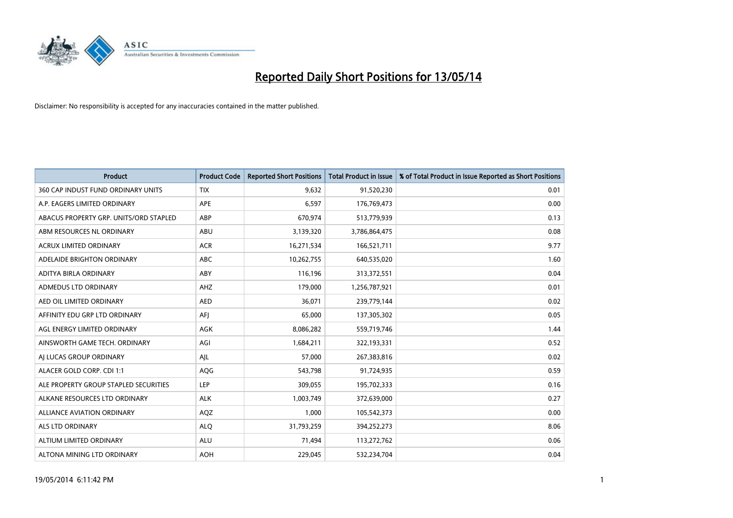

| <b>Product</b>                         | <b>Product Code</b> | <b>Reported Short Positions</b> | <b>Total Product in Issue</b> | % of Total Product in Issue Reported as Short Positions |
|----------------------------------------|---------------------|---------------------------------|-------------------------------|---------------------------------------------------------|
| 360 CAP INDUST FUND ORDINARY UNITS     | <b>TIX</b>          | 9,632                           | 91,520,230                    | 0.01                                                    |
| A.P. EAGERS LIMITED ORDINARY           | APE                 | 6,597                           | 176,769,473                   | 0.00                                                    |
| ABACUS PROPERTY GRP. UNITS/ORD STAPLED | ABP                 | 670,974                         | 513,779,939                   | 0.13                                                    |
| ABM RESOURCES NL ORDINARY              | ABU                 | 3,139,320                       | 3,786,864,475                 | 0.08                                                    |
| <b>ACRUX LIMITED ORDINARY</b>          | <b>ACR</b>          | 16,271,534                      | 166,521,711                   | 9.77                                                    |
| ADELAIDE BRIGHTON ORDINARY             | <b>ABC</b>          | 10,262,755                      | 640,535,020                   | 1.60                                                    |
| ADITYA BIRLA ORDINARY                  | ABY                 | 116,196                         | 313,372,551                   | 0.04                                                    |
| ADMEDUS LTD ORDINARY                   | AHZ                 | 179,000                         | 1,256,787,921                 | 0.01                                                    |
| AED OIL LIMITED ORDINARY               | <b>AED</b>          | 36,071                          | 239,779,144                   | 0.02                                                    |
| AFFINITY EDU GRP LTD ORDINARY          | AFI                 | 65,000                          | 137,305,302                   | 0.05                                                    |
| AGL ENERGY LIMITED ORDINARY            | AGK                 | 8,086,282                       | 559,719,746                   | 1.44                                                    |
| AINSWORTH GAME TECH. ORDINARY          | AGI                 | 1,684,211                       | 322,193,331                   | 0.52                                                    |
| AI LUCAS GROUP ORDINARY                | AJL                 | 57,000                          | 267,383,816                   | 0.02                                                    |
| ALACER GOLD CORP. CDI 1:1              | AQG                 | 543,798                         | 91,724,935                    | 0.59                                                    |
| ALE PROPERTY GROUP STAPLED SECURITIES  | <b>LEP</b>          | 309,055                         | 195,702,333                   | 0.16                                                    |
| ALKANE RESOURCES LTD ORDINARY          | <b>ALK</b>          | 1,003,749                       | 372,639,000                   | 0.27                                                    |
| ALLIANCE AVIATION ORDINARY             | AQZ                 | 1,000                           | 105,542,373                   | 0.00                                                    |
| <b>ALS LTD ORDINARY</b>                | <b>ALQ</b>          | 31,793,259                      | 394,252,273                   | 8.06                                                    |
| ALTIUM LIMITED ORDINARY                | <b>ALU</b>          | 71,494                          | 113,272,762                   | 0.06                                                    |
| ALTONA MINING LTD ORDINARY             | <b>AOH</b>          | 229,045                         | 532,234,704                   | 0.04                                                    |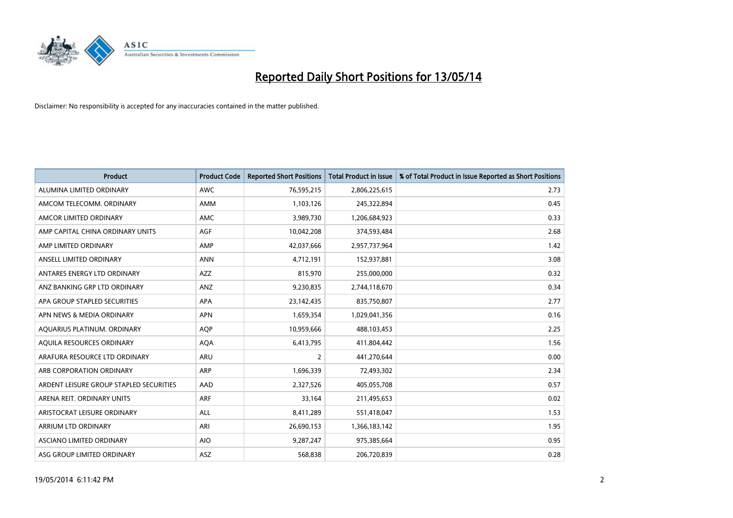

| <b>Product</b>                          | <b>Product Code</b> | <b>Reported Short Positions</b> | <b>Total Product in Issue</b> | % of Total Product in Issue Reported as Short Positions |
|-----------------------------------------|---------------------|---------------------------------|-------------------------------|---------------------------------------------------------|
| ALUMINA LIMITED ORDINARY                | <b>AWC</b>          | 76,595,215                      | 2,806,225,615                 | 2.73                                                    |
| AMCOM TELECOMM. ORDINARY                | AMM                 | 1,103,126                       | 245,322,894                   | 0.45                                                    |
| AMCOR LIMITED ORDINARY                  | <b>AMC</b>          | 3,989,730                       | 1,206,684,923                 | 0.33                                                    |
| AMP CAPITAL CHINA ORDINARY UNITS        | AGF                 | 10,042,208                      | 374,593,484                   | 2.68                                                    |
| AMP LIMITED ORDINARY                    | AMP                 | 42,037,666                      | 2,957,737,964                 | 1.42                                                    |
| ANSELL LIMITED ORDINARY                 | <b>ANN</b>          | 4,712,191                       | 152,937,881                   | 3.08                                                    |
| ANTARES ENERGY LTD ORDINARY             | AZZ                 | 815,970                         | 255,000,000                   | 0.32                                                    |
| ANZ BANKING GRP LTD ORDINARY            | ANZ                 | 9,230,835                       | 2,744,118,670                 | 0.34                                                    |
| APA GROUP STAPLED SECURITIES            | APA                 | 23,142,435                      | 835,750,807                   | 2.77                                                    |
| APN NEWS & MEDIA ORDINARY               | <b>APN</b>          | 1,659,354                       | 1,029,041,356                 | 0.16                                                    |
| AQUARIUS PLATINUM. ORDINARY             | AQP                 | 10,959,666                      | 488,103,453                   | 2.25                                                    |
| AQUILA RESOURCES ORDINARY               | <b>AQA</b>          | 6,413,795                       | 411,804,442                   | 1.56                                                    |
| ARAFURA RESOURCE LTD ORDINARY           | <b>ARU</b>          | $\overline{2}$                  | 441,270,644                   | 0.00                                                    |
| ARB CORPORATION ORDINARY                | ARP                 | 1,696,339                       | 72,493,302                    | 2.34                                                    |
| ARDENT LEISURE GROUP STAPLED SECURITIES | AAD                 | 2,327,526                       | 405,055,708                   | 0.57                                                    |
| ARENA REIT. ORDINARY UNITS              | <b>ARF</b>          | 33,164                          | 211,495,653                   | 0.02                                                    |
| ARISTOCRAT LEISURE ORDINARY             | <b>ALL</b>          | 8,411,289                       | 551,418,047                   | 1.53                                                    |
| ARRIUM LTD ORDINARY                     | ARI                 | 26,690,153                      | 1,366,183,142                 | 1.95                                                    |
| ASCIANO LIMITED ORDINARY                | <b>AIO</b>          | 9,287,247                       | 975,385,664                   | 0.95                                                    |
| ASG GROUP LIMITED ORDINARY              | ASZ                 | 568,838                         | 206,720,839                   | 0.28                                                    |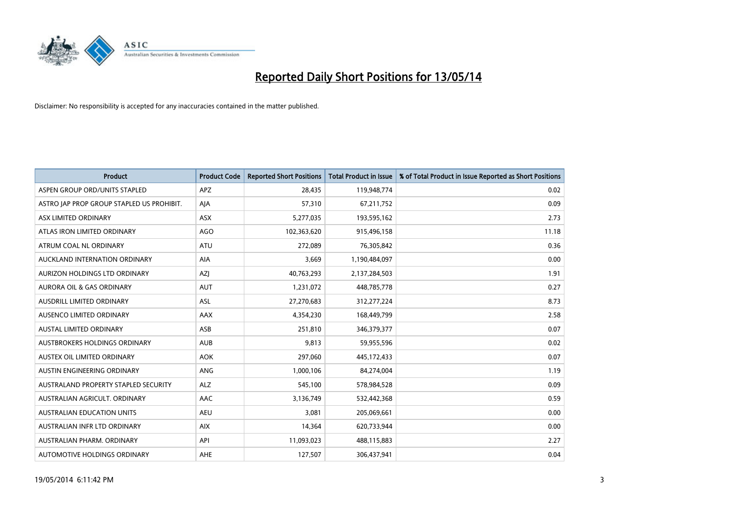

| <b>Product</b>                            | <b>Product Code</b> | <b>Reported Short Positions</b> | <b>Total Product in Issue</b> | % of Total Product in Issue Reported as Short Positions |
|-------------------------------------------|---------------------|---------------------------------|-------------------------------|---------------------------------------------------------|
| ASPEN GROUP ORD/UNITS STAPLED             | <b>APZ</b>          | 28,435                          | 119,948,774                   | 0.02                                                    |
| ASTRO JAP PROP GROUP STAPLED US PROHIBIT. | AJA                 | 57,310                          | 67,211,752                    | 0.09                                                    |
| ASX LIMITED ORDINARY                      | ASX                 | 5,277,035                       | 193,595,162                   | 2.73                                                    |
| ATLAS IRON LIMITED ORDINARY               | <b>AGO</b>          | 102,363,620                     | 915,496,158                   | 11.18                                                   |
| ATRUM COAL NL ORDINARY                    | <b>ATU</b>          | 272,089                         | 76,305,842                    | 0.36                                                    |
| AUCKLAND INTERNATION ORDINARY             | <b>AIA</b>          | 3,669                           | 1,190,484,097                 | 0.00                                                    |
| AURIZON HOLDINGS LTD ORDINARY             | AZJ                 | 40,763,293                      | 2,137,284,503                 | 1.91                                                    |
| AURORA OIL & GAS ORDINARY                 | <b>AUT</b>          | 1,231,072                       | 448,785,778                   | 0.27                                                    |
| AUSDRILL LIMITED ORDINARY                 | ASL                 | 27,270,683                      | 312,277,224                   | 8.73                                                    |
| AUSENCO LIMITED ORDINARY                  | AAX                 | 4,354,230                       | 168,449,799                   | 2.58                                                    |
| AUSTAL LIMITED ORDINARY                   | ASB                 | 251,810                         | 346,379,377                   | 0.07                                                    |
| AUSTBROKERS HOLDINGS ORDINARY             | <b>AUB</b>          | 9,813                           | 59,955,596                    | 0.02                                                    |
| AUSTEX OIL LIMITED ORDINARY               | <b>AOK</b>          | 297,060                         | 445,172,433                   | 0.07                                                    |
| AUSTIN ENGINEERING ORDINARY               | ANG                 | 1,000,106                       | 84,274,004                    | 1.19                                                    |
| AUSTRALAND PROPERTY STAPLED SECURITY      | <b>ALZ</b>          | 545,100                         | 578,984,528                   | 0.09                                                    |
| AUSTRALIAN AGRICULT, ORDINARY             | AAC                 | 3,136,749                       | 532,442,368                   | 0.59                                                    |
| AUSTRALIAN EDUCATION UNITS                | <b>AEU</b>          | 3,081                           | 205,069,661                   | 0.00                                                    |
| AUSTRALIAN INFR LTD ORDINARY              | <b>AIX</b>          | 14,364                          | 620,733,944                   | 0.00                                                    |
| AUSTRALIAN PHARM, ORDINARY                | API                 | 11,093,023                      | 488,115,883                   | 2.27                                                    |
| AUTOMOTIVE HOLDINGS ORDINARY              | <b>AHE</b>          | 127,507                         | 306,437,941                   | 0.04                                                    |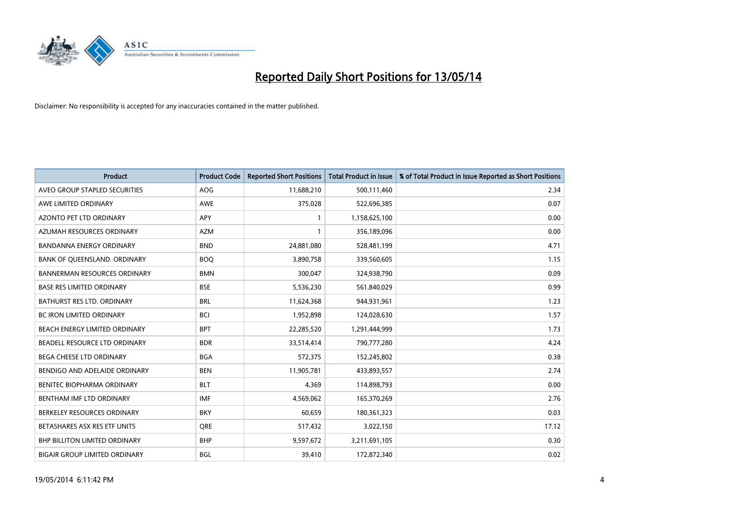

| <b>Product</b>                       | <b>Product Code</b> | <b>Reported Short Positions</b> | <b>Total Product in Issue</b> | % of Total Product in Issue Reported as Short Positions |
|--------------------------------------|---------------------|---------------------------------|-------------------------------|---------------------------------------------------------|
| AVEO GROUP STAPLED SECURITIES        | <b>AOG</b>          | 11,688,210                      | 500,111,460                   | 2.34                                                    |
| AWE LIMITED ORDINARY                 | AWE                 | 375,028                         | 522,696,385                   | 0.07                                                    |
| <b>AZONTO PET LTD ORDINARY</b>       | <b>APY</b>          | $\mathbf{1}$                    | 1,158,625,100                 | 0.00                                                    |
| AZUMAH RESOURCES ORDINARY            | <b>AZM</b>          | $\mathbf{1}$                    | 356,189,096                   | 0.00                                                    |
| <b>BANDANNA ENERGY ORDINARY</b>      | <b>BND</b>          | 24,881,080                      | 528,481,199                   | 4.71                                                    |
| BANK OF QUEENSLAND. ORDINARY         | <b>BOQ</b>          | 3,890,758                       | 339,560,605                   | 1.15                                                    |
| <b>BANNERMAN RESOURCES ORDINARY</b>  | <b>BMN</b>          | 300,047                         | 324,938,790                   | 0.09                                                    |
| <b>BASE RES LIMITED ORDINARY</b>     | <b>BSE</b>          | 5,536,230                       | 561,840,029                   | 0.99                                                    |
| BATHURST RES LTD. ORDINARY           | <b>BRL</b>          | 11,624,368                      | 944,931,961                   | 1.23                                                    |
| <b>BC IRON LIMITED ORDINARY</b>      | <b>BCI</b>          | 1,952,898                       | 124,028,630                   | 1.57                                                    |
| BEACH ENERGY LIMITED ORDINARY        | <b>BPT</b>          | 22,285,520                      | 1,291,444,999                 | 1.73                                                    |
| BEADELL RESOURCE LTD ORDINARY        | <b>BDR</b>          | 33,514,414                      | 790,777,280                   | 4.24                                                    |
| BEGA CHEESE LTD ORDINARY             | <b>BGA</b>          | 572,375                         | 152,245,802                   | 0.38                                                    |
| BENDIGO AND ADELAIDE ORDINARY        | <b>BEN</b>          | 11,905,781                      | 433,893,557                   | 2.74                                                    |
| BENITEC BIOPHARMA ORDINARY           | <b>BLT</b>          | 4,369                           | 114,898,793                   | 0.00                                                    |
| BENTHAM IMF LTD ORDINARY             | <b>IMF</b>          | 4,569,062                       | 165,370,269                   | 2.76                                                    |
| BERKELEY RESOURCES ORDINARY          | <b>BKY</b>          | 60,659                          | 180,361,323                   | 0.03                                                    |
| BETASHARES ASX RES ETF UNITS         | <b>ORE</b>          | 517,432                         | 3,022,150                     | 17.12                                                   |
| <b>BHP BILLITON LIMITED ORDINARY</b> | <b>BHP</b>          | 9,597,672                       | 3,211,691,105                 | 0.30                                                    |
| <b>BIGAIR GROUP LIMITED ORDINARY</b> | <b>BGL</b>          | 39,410                          | 172,872,340                   | 0.02                                                    |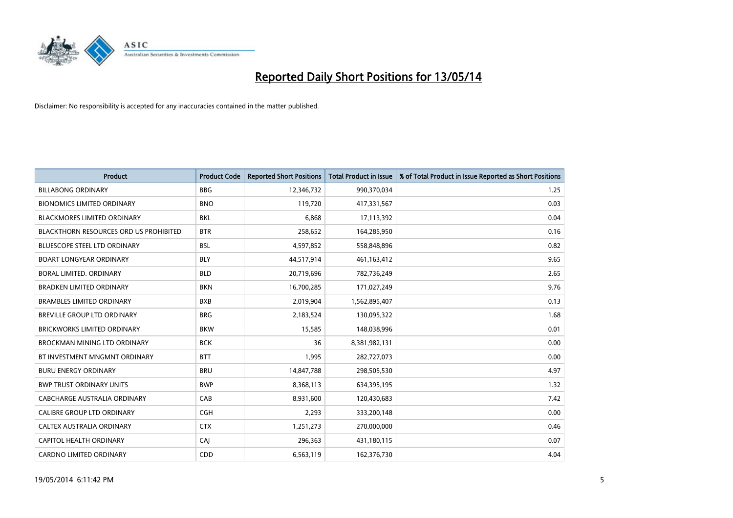

| <b>Product</b>                         | <b>Product Code</b> | <b>Reported Short Positions</b> | <b>Total Product in Issue</b> | % of Total Product in Issue Reported as Short Positions |
|----------------------------------------|---------------------|---------------------------------|-------------------------------|---------------------------------------------------------|
| <b>BILLABONG ORDINARY</b>              | <b>BBG</b>          | 12,346,732                      | 990,370,034                   | 1.25                                                    |
| <b>BIONOMICS LIMITED ORDINARY</b>      | <b>BNO</b>          | 119,720                         | 417,331,567                   | 0.03                                                    |
| <b>BLACKMORES LIMITED ORDINARY</b>     | <b>BKL</b>          | 6,868                           | 17,113,392                    | 0.04                                                    |
| BLACKTHORN RESOURCES ORD US PROHIBITED | <b>BTR</b>          | 258,652                         | 164,285,950                   | 0.16                                                    |
| <b>BLUESCOPE STEEL LTD ORDINARY</b>    | <b>BSL</b>          | 4,597,852                       | 558,848,896                   | 0.82                                                    |
| <b>BOART LONGYEAR ORDINARY</b>         | <b>BLY</b>          | 44,517,914                      | 461,163,412                   | 9.65                                                    |
| BORAL LIMITED, ORDINARY                | <b>BLD</b>          | 20,719,696                      | 782,736,249                   | 2.65                                                    |
| <b>BRADKEN LIMITED ORDINARY</b>        | <b>BKN</b>          | 16,700,285                      | 171,027,249                   | 9.76                                                    |
| <b>BRAMBLES LIMITED ORDINARY</b>       | <b>BXB</b>          | 2,019,904                       | 1,562,895,407                 | 0.13                                                    |
| BREVILLE GROUP LTD ORDINARY            | <b>BRG</b>          | 2,183,524                       | 130,095,322                   | 1.68                                                    |
| <b>BRICKWORKS LIMITED ORDINARY</b>     | <b>BKW</b>          | 15,585                          | 148,038,996                   | 0.01                                                    |
| <b>BROCKMAN MINING LTD ORDINARY</b>    | <b>BCK</b>          | 36                              | 8,381,982,131                 | 0.00                                                    |
| BT INVESTMENT MNGMNT ORDINARY          | <b>BTT</b>          | 1,995                           | 282,727,073                   | 0.00                                                    |
| <b>BURU ENERGY ORDINARY</b>            | <b>BRU</b>          | 14,847,788                      | 298,505,530                   | 4.97                                                    |
| <b>BWP TRUST ORDINARY UNITS</b>        | <b>BWP</b>          | 8,368,113                       | 634,395,195                   | 1.32                                                    |
| CABCHARGE AUSTRALIA ORDINARY           | CAB                 | 8,931,600                       | 120,430,683                   | 7.42                                                    |
| <b>CALIBRE GROUP LTD ORDINARY</b>      | <b>CGH</b>          | 2,293                           | 333,200,148                   | 0.00                                                    |
| CALTEX AUSTRALIA ORDINARY              | <b>CTX</b>          | 1,251,273                       | 270,000,000                   | 0.46                                                    |
| CAPITOL HEALTH ORDINARY                | CAI                 | 296,363                         | 431,180,115                   | 0.07                                                    |
| <b>CARDNO LIMITED ORDINARY</b>         | CDD                 | 6,563,119                       | 162,376,730                   | 4.04                                                    |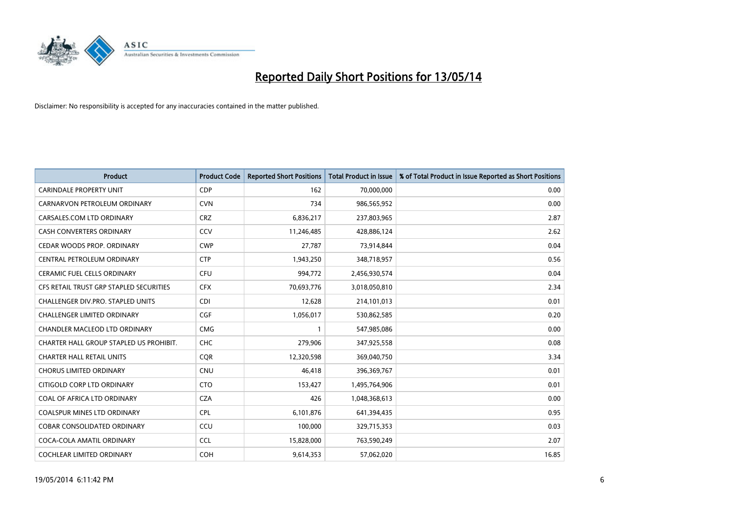

| <b>Product</b>                          | <b>Product Code</b> | <b>Reported Short Positions</b> | <b>Total Product in Issue</b> | % of Total Product in Issue Reported as Short Positions |
|-----------------------------------------|---------------------|---------------------------------|-------------------------------|---------------------------------------------------------|
| <b>CARINDALE PROPERTY UNIT</b>          | <b>CDP</b>          | 162                             | 70,000,000                    | 0.00                                                    |
| CARNARVON PETROLEUM ORDINARY            | <b>CVN</b>          | 734                             | 986,565,952                   | 0.00                                                    |
| CARSALES.COM LTD ORDINARY               | <b>CRZ</b>          | 6,836,217                       | 237,803,965                   | 2.87                                                    |
| CASH CONVERTERS ORDINARY                | CCV                 | 11,246,485                      | 428,886,124                   | 2.62                                                    |
| CEDAR WOODS PROP. ORDINARY              | <b>CWP</b>          | 27,787                          | 73,914,844                    | 0.04                                                    |
| CENTRAL PETROLEUM ORDINARY              | <b>CTP</b>          | 1,943,250                       | 348,718,957                   | 0.56                                                    |
| <b>CERAMIC FUEL CELLS ORDINARY</b>      | <b>CFU</b>          | 994,772                         | 2,456,930,574                 | 0.04                                                    |
| CFS RETAIL TRUST GRP STAPLED SECURITIES | <b>CFX</b>          | 70,693,776                      | 3,018,050,810                 | 2.34                                                    |
| CHALLENGER DIV.PRO. STAPLED UNITS       | <b>CDI</b>          | 12,628                          | 214,101,013                   | 0.01                                                    |
| <b>CHALLENGER LIMITED ORDINARY</b>      | <b>CGF</b>          | 1,056,017                       | 530,862,585                   | 0.20                                                    |
| CHANDLER MACLEOD LTD ORDINARY           | <b>CMG</b>          | 1                               | 547,985,086                   | 0.00                                                    |
| CHARTER HALL GROUP STAPLED US PROHIBIT. | <b>CHC</b>          | 279,906                         | 347,925,558                   | 0.08                                                    |
| <b>CHARTER HALL RETAIL UNITS</b>        | <b>COR</b>          | 12,320,598                      | 369,040,750                   | 3.34                                                    |
| <b>CHORUS LIMITED ORDINARY</b>          | <b>CNU</b>          | 46,418                          | 396,369,767                   | 0.01                                                    |
| CITIGOLD CORP LTD ORDINARY              | <b>CTO</b>          | 153,427                         | 1,495,764,906                 | 0.01                                                    |
| COAL OF AFRICA LTD ORDINARY             | <b>CZA</b>          | 426                             | 1,048,368,613                 | 0.00                                                    |
| COALSPUR MINES LTD ORDINARY             | <b>CPL</b>          | 6,101,876                       | 641,394,435                   | 0.95                                                    |
| COBAR CONSOLIDATED ORDINARY             | CCU                 | 100,000                         | 329,715,353                   | 0.03                                                    |
| COCA-COLA AMATIL ORDINARY               | <b>CCL</b>          | 15,828,000                      | 763,590,249                   | 2.07                                                    |
| COCHLEAR LIMITED ORDINARY               | <b>COH</b>          | 9,614,353                       | 57,062,020                    | 16.85                                                   |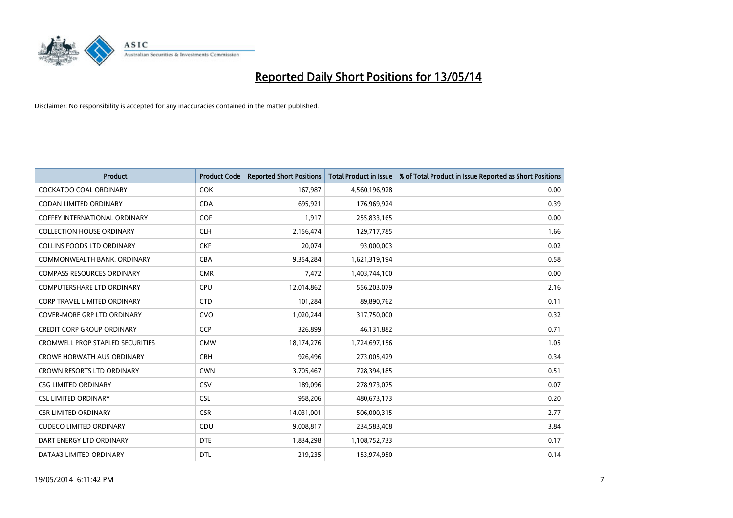

| <b>Product</b>                          | <b>Product Code</b> | <b>Reported Short Positions</b> | <b>Total Product in Issue</b> | % of Total Product in Issue Reported as Short Positions |
|-----------------------------------------|---------------------|---------------------------------|-------------------------------|---------------------------------------------------------|
| <b>COCKATOO COAL ORDINARY</b>           | <b>COK</b>          | 167,987                         | 4,560,196,928                 | 0.00                                                    |
| CODAN LIMITED ORDINARY                  | <b>CDA</b>          | 695,921                         | 176,969,924                   | 0.39                                                    |
| <b>COFFEY INTERNATIONAL ORDINARY</b>    | <b>COF</b>          | 1,917                           | 255,833,165                   | 0.00                                                    |
| <b>COLLECTION HOUSE ORDINARY</b>        | <b>CLH</b>          | 2,156,474                       | 129,717,785                   | 1.66                                                    |
| <b>COLLINS FOODS LTD ORDINARY</b>       | <b>CKF</b>          | 20,074                          | 93,000,003                    | 0.02                                                    |
| COMMONWEALTH BANK, ORDINARY             | <b>CBA</b>          | 9,354,284                       | 1,621,319,194                 | 0.58                                                    |
| <b>COMPASS RESOURCES ORDINARY</b>       | <b>CMR</b>          | 7,472                           | 1,403,744,100                 | 0.00                                                    |
| <b>COMPUTERSHARE LTD ORDINARY</b>       | <b>CPU</b>          | 12,014,862                      | 556,203,079                   | 2.16                                                    |
| CORP TRAVEL LIMITED ORDINARY            | <b>CTD</b>          | 101,284                         | 89,890,762                    | 0.11                                                    |
| <b>COVER-MORE GRP LTD ORDINARY</b>      | <b>CVO</b>          | 1,020,244                       | 317,750,000                   | 0.32                                                    |
| <b>CREDIT CORP GROUP ORDINARY</b>       | <b>CCP</b>          | 326,899                         | 46,131,882                    | 0.71                                                    |
| <b>CROMWELL PROP STAPLED SECURITIES</b> | <b>CMW</b>          | 18,174,276                      | 1,724,697,156                 | 1.05                                                    |
| CROWE HORWATH AUS ORDINARY              | <b>CRH</b>          | 926,496                         | 273,005,429                   | 0.34                                                    |
| <b>CROWN RESORTS LTD ORDINARY</b>       | <b>CWN</b>          | 3,705,467                       | 728,394,185                   | 0.51                                                    |
| <b>CSG LIMITED ORDINARY</b>             | CSV                 | 189,096                         | 278,973,075                   | 0.07                                                    |
| <b>CSL LIMITED ORDINARY</b>             | <b>CSL</b>          | 958,206                         | 480,673,173                   | 0.20                                                    |
| <b>CSR LIMITED ORDINARY</b>             | <b>CSR</b>          | 14,031,001                      | 506,000,315                   | 2.77                                                    |
| <b>CUDECO LIMITED ORDINARY</b>          | CDU                 | 9,008,817                       | 234,583,408                   | 3.84                                                    |
| DART ENERGY LTD ORDINARY                | <b>DTE</b>          | 1,834,298                       | 1,108,752,733                 | 0.17                                                    |
| DATA#3 LIMITED ORDINARY                 | <b>DTL</b>          | 219,235                         | 153,974,950                   | 0.14                                                    |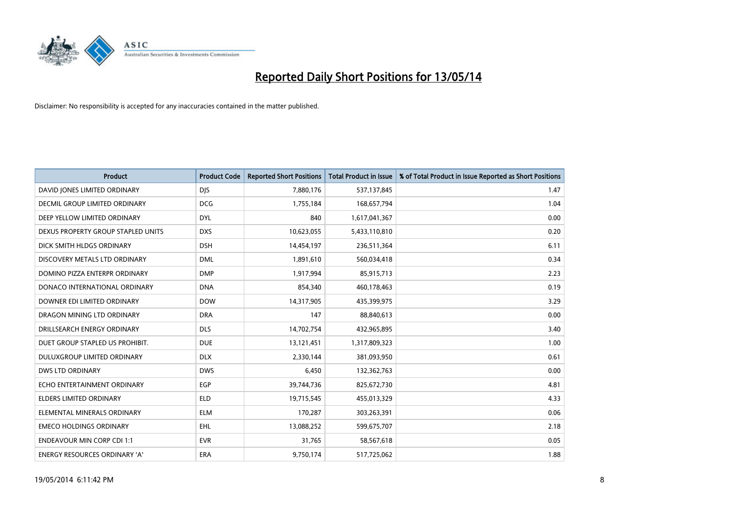

| <b>Product</b>                     | <b>Product Code</b> | <b>Reported Short Positions</b> | <b>Total Product in Issue</b> | % of Total Product in Issue Reported as Short Positions |
|------------------------------------|---------------------|---------------------------------|-------------------------------|---------------------------------------------------------|
| DAVID JONES LIMITED ORDINARY       | <b>DJS</b>          | 7,880,176                       | 537,137,845                   | 1.47                                                    |
| DECMIL GROUP LIMITED ORDINARY      | <b>DCG</b>          | 1,755,184                       | 168,657,794                   | 1.04                                                    |
| DEEP YELLOW LIMITED ORDINARY       | <b>DYL</b>          | 840                             | 1,617,041,367                 | 0.00                                                    |
| DEXUS PROPERTY GROUP STAPLED UNITS | <b>DXS</b>          | 10,623,055                      | 5,433,110,810                 | 0.20                                                    |
| DICK SMITH HLDGS ORDINARY          | <b>DSH</b>          | 14,454,197                      | 236,511,364                   | 6.11                                                    |
| DISCOVERY METALS LTD ORDINARY      | <b>DML</b>          | 1,891,610                       | 560,034,418                   | 0.34                                                    |
| DOMINO PIZZA ENTERPR ORDINARY      | <b>DMP</b>          | 1,917,994                       | 85,915,713                    | 2.23                                                    |
| DONACO INTERNATIONAL ORDINARY      | <b>DNA</b>          | 854,340                         | 460,178,463                   | 0.19                                                    |
| DOWNER EDI LIMITED ORDINARY        | <b>DOW</b>          | 14,317,905                      | 435,399,975                   | 3.29                                                    |
| DRAGON MINING LTD ORDINARY         | <b>DRA</b>          | 147                             | 88,840,613                    | 0.00                                                    |
| DRILLSEARCH ENERGY ORDINARY        | <b>DLS</b>          | 14,702,754                      | 432,965,895                   | 3.40                                                    |
| DUET GROUP STAPLED US PROHIBIT.    | <b>DUE</b>          | 13,121,451                      | 1,317,809,323                 | 1.00                                                    |
| DULUXGROUP LIMITED ORDINARY        | <b>DLX</b>          | 2,330,144                       | 381,093,950                   | 0.61                                                    |
| DWS LTD ORDINARY                   | <b>DWS</b>          | 6,450                           | 132,362,763                   | 0.00                                                    |
| ECHO ENTERTAINMENT ORDINARY        | EGP                 | 39,744,736                      | 825,672,730                   | 4.81                                                    |
| ELDERS LIMITED ORDINARY            | <b>ELD</b>          | 19,715,545                      | 455,013,329                   | 4.33                                                    |
| ELEMENTAL MINERALS ORDINARY        | <b>ELM</b>          | 170,287                         | 303,263,391                   | 0.06                                                    |
| <b>EMECO HOLDINGS ORDINARY</b>     | <b>EHL</b>          | 13,088,252                      | 599,675,707                   | 2.18                                                    |
| <b>ENDEAVOUR MIN CORP CDI 1:1</b>  | <b>EVR</b>          | 31,765                          | 58,567,618                    | 0.05                                                    |
| ENERGY RESOURCES ORDINARY 'A'      | ERA                 | 9,750,174                       | 517,725,062                   | 1.88                                                    |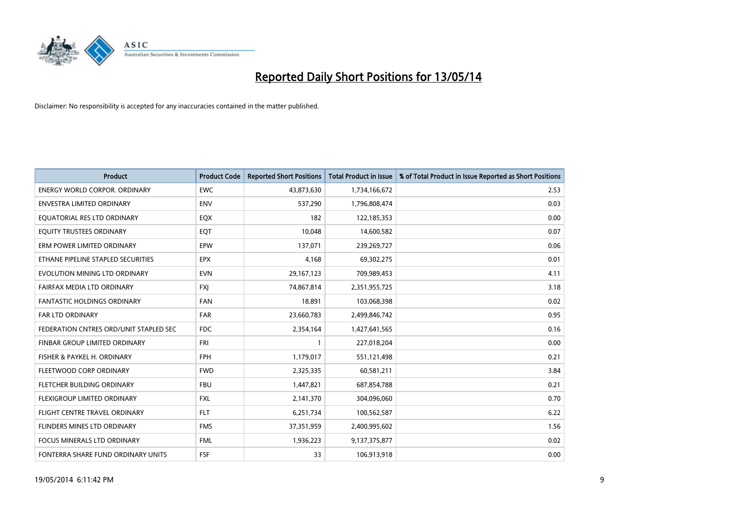

| <b>Product</b>                         | <b>Product Code</b> | <b>Reported Short Positions</b> | <b>Total Product in Issue</b> | % of Total Product in Issue Reported as Short Positions |
|----------------------------------------|---------------------|---------------------------------|-------------------------------|---------------------------------------------------------|
| <b>ENERGY WORLD CORPOR, ORDINARY</b>   | <b>EWC</b>          | 43,873,630                      | 1,734,166,672                 | 2.53                                                    |
| ENVESTRA LIMITED ORDINARY              | <b>ENV</b>          | 537,290                         | 1,796,808,474                 | 0.03                                                    |
| EQUATORIAL RES LTD ORDINARY            | EQX                 | 182                             | 122,185,353                   | 0.00                                                    |
| EQUITY TRUSTEES ORDINARY               | EQT                 | 10.048                          | 14,600,582                    | 0.07                                                    |
| ERM POWER LIMITED ORDINARY             | EPW                 | 137,071                         | 239,269,727                   | 0.06                                                    |
| ETHANE PIPELINE STAPLED SECURITIES     | <b>EPX</b>          | 4,168                           | 69,302,275                    | 0.01                                                    |
| EVOLUTION MINING LTD ORDINARY          | <b>EVN</b>          | 29,167,123                      | 709,989,453                   | 4.11                                                    |
| FAIRFAX MEDIA LTD ORDINARY             | FXJ                 | 74,867,814                      | 2,351,955,725                 | 3.18                                                    |
| <b>FANTASTIC HOLDINGS ORDINARY</b>     | <b>FAN</b>          | 18,891                          | 103,068,398                   | 0.02                                                    |
| FAR LTD ORDINARY                       | FAR                 | 23,660,783                      | 2,499,846,742                 | 0.95                                                    |
| FEDERATION CNTRES ORD/UNIT STAPLED SEC | <b>FDC</b>          | 2,354,164                       | 1,427,641,565                 | 0.16                                                    |
| FINBAR GROUP LIMITED ORDINARY          | FRI                 | $\mathbf{1}$                    | 227,018,204                   | 0.00                                                    |
| FISHER & PAYKEL H. ORDINARY            | <b>FPH</b>          | 1,179,017                       | 551,121,498                   | 0.21                                                    |
| FLEETWOOD CORP ORDINARY                | <b>FWD</b>          | 2,325,335                       | 60,581,211                    | 3.84                                                    |
| FLETCHER BUILDING ORDINARY             | <b>FBU</b>          | 1,447,821                       | 687,854,788                   | 0.21                                                    |
| FLEXIGROUP LIMITED ORDINARY            | <b>FXL</b>          | 2,141,370                       | 304,096,060                   | 0.70                                                    |
| FLIGHT CENTRE TRAVEL ORDINARY          | <b>FLT</b>          | 6,251,734                       | 100,562,587                   | 6.22                                                    |
| FLINDERS MINES LTD ORDINARY            | <b>FMS</b>          | 37,351,959                      | 2,400,995,602                 | 1.56                                                    |
| <b>FOCUS MINERALS LTD ORDINARY</b>     | <b>FML</b>          | 1,936,223                       | 9,137,375,877                 | 0.02                                                    |
| FONTERRA SHARE FUND ORDINARY UNITS     | <b>FSF</b>          | 33                              | 106,913,918                   | 0.00                                                    |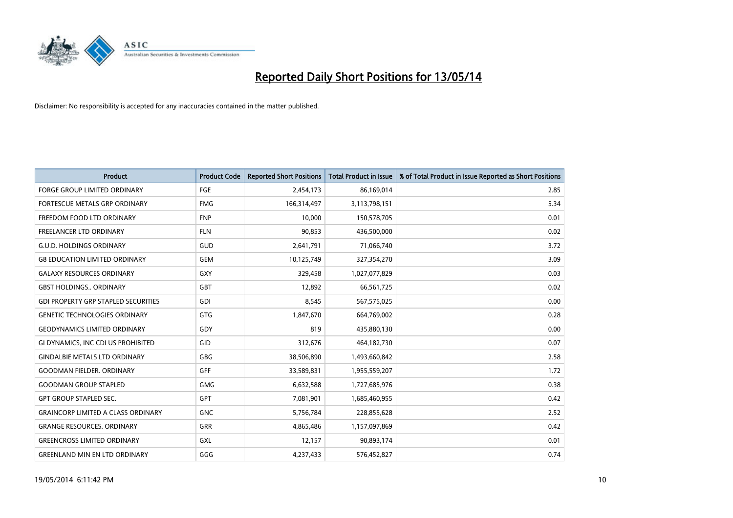

| <b>Product</b>                             | <b>Product Code</b> | <b>Reported Short Positions</b> | <b>Total Product in Issue</b> | % of Total Product in Issue Reported as Short Positions |
|--------------------------------------------|---------------------|---------------------------------|-------------------------------|---------------------------------------------------------|
| <b>FORGE GROUP LIMITED ORDINARY</b>        | <b>FGE</b>          | 2,454,173                       | 86,169,014                    | 2.85                                                    |
| FORTESCUE METALS GRP ORDINARY              | <b>FMG</b>          | 166,314,497                     | 3,113,798,151                 | 5.34                                                    |
| FREEDOM FOOD LTD ORDINARY                  | <b>FNP</b>          | 10,000                          | 150,578,705                   | 0.01                                                    |
| <b>FREELANCER LTD ORDINARY</b>             | <b>FLN</b>          | 90.853                          | 436,500,000                   | 0.02                                                    |
| <b>G.U.D. HOLDINGS ORDINARY</b>            | GUD                 | 2,641,791                       | 71,066,740                    | 3.72                                                    |
| <b>G8 EDUCATION LIMITED ORDINARY</b>       | <b>GEM</b>          | 10,125,749                      | 327,354,270                   | 3.09                                                    |
| <b>GALAXY RESOURCES ORDINARY</b>           | <b>GXY</b>          | 329,458                         | 1,027,077,829                 | 0.03                                                    |
| <b>GBST HOLDINGS., ORDINARY</b>            | <b>GBT</b>          | 12,892                          | 66,561,725                    | 0.02                                                    |
| <b>GDI PROPERTY GRP STAPLED SECURITIES</b> | <b>GDI</b>          | 8,545                           | 567,575,025                   | 0.00                                                    |
| <b>GENETIC TECHNOLOGIES ORDINARY</b>       | <b>GTG</b>          | 1,847,670                       | 664,769,002                   | 0.28                                                    |
| <b>GEODYNAMICS LIMITED ORDINARY</b>        | GDY                 | 819                             | 435,880,130                   | 0.00                                                    |
| GI DYNAMICS, INC CDI US PROHIBITED         | <b>GID</b>          | 312,676                         | 464,182,730                   | 0.07                                                    |
| <b>GINDALBIE METALS LTD ORDINARY</b>       | <b>GBG</b>          | 38,506,890                      | 1,493,660,842                 | 2.58                                                    |
| <b>GOODMAN FIELDER, ORDINARY</b>           | <b>GFF</b>          | 33,589,831                      | 1,955,559,207                 | 1.72                                                    |
| <b>GOODMAN GROUP STAPLED</b>               | <b>GMG</b>          | 6,632,588                       | 1,727,685,976                 | 0.38                                                    |
| <b>GPT GROUP STAPLED SEC.</b>              | <b>GPT</b>          | 7,081,901                       | 1,685,460,955                 | 0.42                                                    |
| <b>GRAINCORP LIMITED A CLASS ORDINARY</b>  | <b>GNC</b>          | 5,756,784                       | 228,855,628                   | 2.52                                                    |
| <b>GRANGE RESOURCES, ORDINARY</b>          | <b>GRR</b>          | 4,865,486                       | 1,157,097,869                 | 0.42                                                    |
| <b>GREENCROSS LIMITED ORDINARY</b>         | GXL                 | 12,157                          | 90,893,174                    | 0.01                                                    |
| <b>GREENLAND MIN EN LTD ORDINARY</b>       | GGG                 | 4,237,433                       | 576,452,827                   | 0.74                                                    |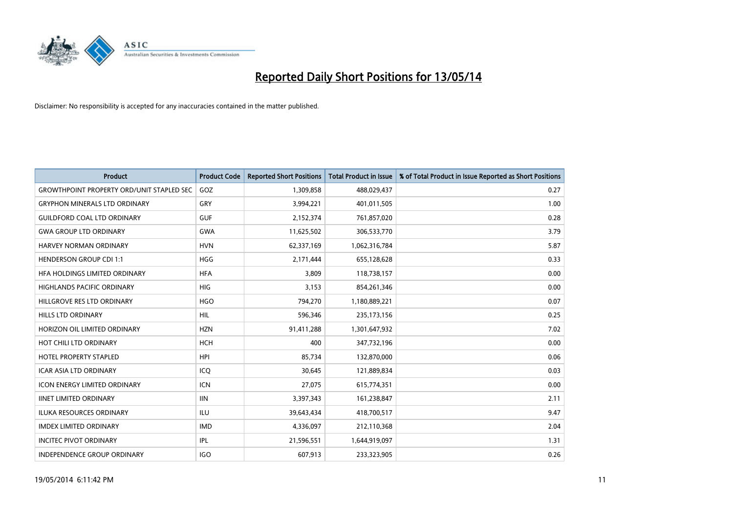

| <b>Product</b>                                   | <b>Product Code</b> | <b>Reported Short Positions</b> | <b>Total Product in Issue</b> | % of Total Product in Issue Reported as Short Positions |
|--------------------------------------------------|---------------------|---------------------------------|-------------------------------|---------------------------------------------------------|
| <b>GROWTHPOINT PROPERTY ORD/UNIT STAPLED SEC</b> | GOZ                 | 1,309,858                       | 488,029,437                   | 0.27                                                    |
| <b>GRYPHON MINERALS LTD ORDINARY</b>             | GRY                 | 3,994,221                       | 401,011,505                   | 1.00                                                    |
| <b>GUILDFORD COAL LTD ORDINARY</b>               | <b>GUF</b>          | 2,152,374                       | 761,857,020                   | 0.28                                                    |
| <b>GWA GROUP LTD ORDINARY</b>                    | <b>GWA</b>          | 11,625,502                      | 306,533,770                   | 3.79                                                    |
| HARVEY NORMAN ORDINARY                           | <b>HVN</b>          | 62,337,169                      | 1,062,316,784                 | 5.87                                                    |
| <b>HENDERSON GROUP CDI 1:1</b>                   | <b>HGG</b>          | 2,171,444                       | 655,128,628                   | 0.33                                                    |
| HFA HOLDINGS LIMITED ORDINARY                    | <b>HFA</b>          | 3,809                           | 118,738,157                   | 0.00                                                    |
| <b>HIGHLANDS PACIFIC ORDINARY</b>                | <b>HIG</b>          | 3,153                           | 854,261,346                   | 0.00                                                    |
| HILLGROVE RES LTD ORDINARY                       | <b>HGO</b>          | 794,270                         | 1,180,889,221                 | 0.07                                                    |
| <b>HILLS LTD ORDINARY</b>                        | <b>HIL</b>          | 596,346                         | 235, 173, 156                 | 0.25                                                    |
| HORIZON OIL LIMITED ORDINARY                     | <b>HZN</b>          | 91,411,288                      | 1,301,647,932                 | 7.02                                                    |
| HOT CHILI LTD ORDINARY                           | <b>HCH</b>          | 400                             | 347,732,196                   | 0.00                                                    |
| HOTEL PROPERTY STAPLED                           | <b>HPI</b>          | 85,734                          | 132,870,000                   | 0.06                                                    |
| <b>ICAR ASIA LTD ORDINARY</b>                    | ICQ                 | 30,645                          | 121,889,834                   | 0.03                                                    |
| <b>ICON ENERGY LIMITED ORDINARY</b>              | <b>ICN</b>          | 27,075                          | 615,774,351                   | 0.00                                                    |
| <b>IINET LIMITED ORDINARY</b>                    | <b>IIN</b>          | 3,397,343                       | 161,238,847                   | 2.11                                                    |
| <b>ILUKA RESOURCES ORDINARY</b>                  | <b>ILU</b>          | 39,643,434                      | 418,700,517                   | 9.47                                                    |
| <b>IMDEX LIMITED ORDINARY</b>                    | <b>IMD</b>          | 4,336,097                       | 212,110,368                   | 2.04                                                    |
| <b>INCITEC PIVOT ORDINARY</b>                    | IPL                 | 21,596,551                      | 1,644,919,097                 | 1.31                                                    |
| INDEPENDENCE GROUP ORDINARY                      | <b>IGO</b>          | 607,913                         | 233,323,905                   | 0.26                                                    |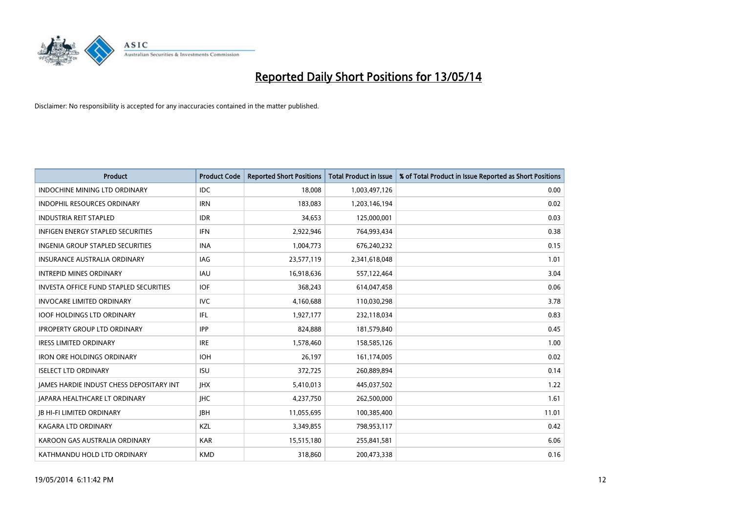

| <b>Product</b>                           | <b>Product Code</b> | <b>Reported Short Positions</b> | <b>Total Product in Issue</b> | % of Total Product in Issue Reported as Short Positions |
|------------------------------------------|---------------------|---------------------------------|-------------------------------|---------------------------------------------------------|
| <b>INDOCHINE MINING LTD ORDINARY</b>     | <b>IDC</b>          | 18,008                          | 1,003,497,126                 | 0.00                                                    |
| INDOPHIL RESOURCES ORDINARY              | <b>IRN</b>          | 183,083                         | 1,203,146,194                 | 0.02                                                    |
| <b>INDUSTRIA REIT STAPLED</b>            | <b>IDR</b>          | 34,653                          | 125,000,001                   | 0.03                                                    |
| <b>INFIGEN ENERGY STAPLED SECURITIES</b> | <b>IFN</b>          | 2,922,946                       | 764,993,434                   | 0.38                                                    |
| <b>INGENIA GROUP STAPLED SECURITIES</b>  | <b>INA</b>          | 1,004,773                       | 676,240,232                   | 0.15                                                    |
| <b>INSURANCE AUSTRALIA ORDINARY</b>      | IAG                 | 23,577,119                      | 2,341,618,048                 | 1.01                                                    |
| <b>INTREPID MINES ORDINARY</b>           | IAU                 | 16,918,636                      | 557,122,464                   | 3.04                                                    |
| INVESTA OFFICE FUND STAPLED SECURITIES   | <b>IOF</b>          | 368,243                         | 614,047,458                   | 0.06                                                    |
| <b>INVOCARE LIMITED ORDINARY</b>         | <b>IVC</b>          | 4,160,688                       | 110,030,298                   | 3.78                                                    |
| <b>IOOF HOLDINGS LTD ORDINARY</b>        | IFL                 | 1,927,177                       | 232,118,034                   | 0.83                                                    |
| <b>IPROPERTY GROUP LTD ORDINARY</b>      | <b>IPP</b>          | 824,888                         | 181,579,840                   | 0.45                                                    |
| <b>IRESS LIMITED ORDINARY</b>            | <b>IRE</b>          | 1,578,460                       | 158,585,126                   | 1.00                                                    |
| <b>IRON ORE HOLDINGS ORDINARY</b>        | <b>IOH</b>          | 26,197                          | 161,174,005                   | 0.02                                                    |
| <b>ISELECT LTD ORDINARY</b>              | <b>ISU</b>          | 372,725                         | 260,889,894                   | 0.14                                                    |
| JAMES HARDIE INDUST CHESS DEPOSITARY INT | <b>IHX</b>          | 5,410,013                       | 445,037,502                   | 1.22                                                    |
| <b>JAPARA HEALTHCARE LT ORDINARY</b>     | <b>IHC</b>          | 4,237,750                       | 262,500,000                   | 1.61                                                    |
| <b>JB HI-FI LIMITED ORDINARY</b>         | <b>JBH</b>          | 11,055,695                      | 100,385,400                   | 11.01                                                   |
| <b>KAGARA LTD ORDINARY</b>               | KZL                 | 3,349,855                       | 798,953,117                   | 0.42                                                    |
| KAROON GAS AUSTRALIA ORDINARY            | <b>KAR</b>          | 15,515,180                      | 255,841,581                   | 6.06                                                    |
| KATHMANDU HOLD LTD ORDINARY              | <b>KMD</b>          | 318,860                         | 200,473,338                   | 0.16                                                    |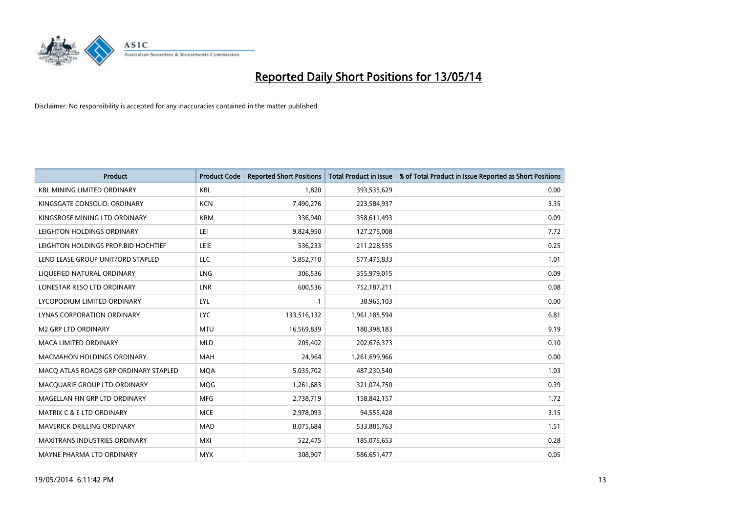

| <b>Product</b>                        | <b>Product Code</b> | <b>Reported Short Positions</b> | <b>Total Product in Issue</b> | % of Total Product in Issue Reported as Short Positions |
|---------------------------------------|---------------------|---------------------------------|-------------------------------|---------------------------------------------------------|
| <b>KBL MINING LIMITED ORDINARY</b>    | <b>KBL</b>          | 1.820                           | 393,535,629                   | 0.00                                                    |
| KINGSGATE CONSOLID. ORDINARY          | <b>KCN</b>          | 7,490,276                       | 223,584,937                   | 3.35                                                    |
| KINGSROSE MINING LTD ORDINARY         | <b>KRM</b>          | 336,940                         | 358,611,493                   | 0.09                                                    |
| LEIGHTON HOLDINGS ORDINARY            | LEI                 | 9,824,950                       | 127,275,008                   | 7.72                                                    |
| LEIGHTON HOLDINGS PROP.BID HOCHTIEF   | <b>LEIE</b>         | 536,233                         | 211,228,555                   | 0.25                                                    |
| LEND LEASE GROUP UNIT/ORD STAPLED     | <b>LLC</b>          | 5,852,710                       | 577,475,833                   | 1.01                                                    |
| LIQUEFIED NATURAL ORDINARY            | <b>LNG</b>          | 306,536                         | 355,979,015                   | 0.09                                                    |
| LONESTAR RESO LTD ORDINARY            | <b>LNR</b>          | 600,536                         | 752,187,211                   | 0.08                                                    |
| LYCOPODIUM LIMITED ORDINARY           | <b>LYL</b>          | 1                               | 38,965,103                    | 0.00                                                    |
| <b>LYNAS CORPORATION ORDINARY</b>     | <b>LYC</b>          | 133,516,132                     | 1,961,185,594                 | 6.81                                                    |
| <b>M2 GRP LTD ORDINARY</b>            | <b>MTU</b>          | 16,569,839                      | 180,398,183                   | 9.19                                                    |
| <b>MACA LIMITED ORDINARY</b>          | <b>MLD</b>          | 205,402                         | 202,676,373                   | 0.10                                                    |
| <b>MACMAHON HOLDINGS ORDINARY</b>     | <b>MAH</b>          | 24,964                          | 1,261,699,966                 | 0.00                                                    |
| MACO ATLAS ROADS GRP ORDINARY STAPLED | <b>MQA</b>          | 5,035,702                       | 487,230,540                   | 1.03                                                    |
| MACQUARIE GROUP LTD ORDINARY          | MQG                 | 1,261,683                       | 321,074,750                   | 0.39                                                    |
| MAGELLAN FIN GRP LTD ORDINARY         | <b>MFG</b>          | 2,738,719                       | 158,842,157                   | 1.72                                                    |
| <b>MATRIX C &amp; E LTD ORDINARY</b>  | <b>MCE</b>          | 2,978,093                       | 94,555,428                    | 3.15                                                    |
| MAVERICK DRILLING ORDINARY            | <b>MAD</b>          | 8,075,684                       | 533,885,763                   | 1.51                                                    |
| <b>MAXITRANS INDUSTRIES ORDINARY</b>  | <b>MXI</b>          | 522,475                         | 185,075,653                   | 0.28                                                    |
| MAYNE PHARMA LTD ORDINARY             | <b>MYX</b>          | 308,907                         | 586,651,477                   | 0.05                                                    |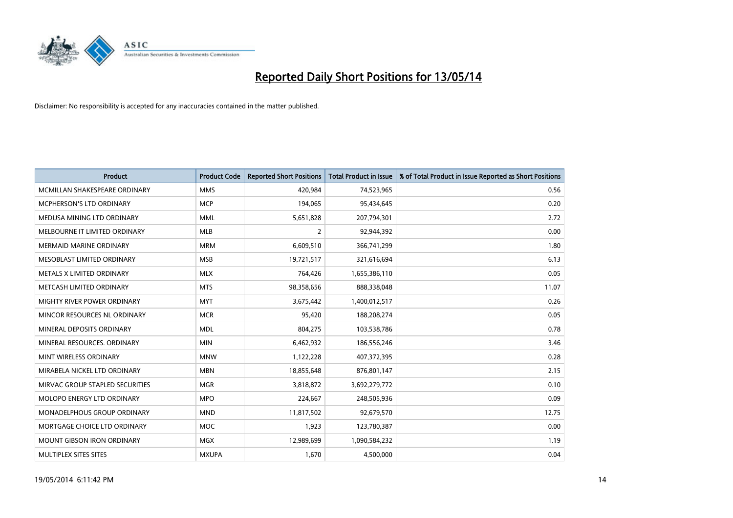

| <b>Product</b>                    | <b>Product Code</b> | <b>Reported Short Positions</b> | <b>Total Product in Issue</b> | % of Total Product in Issue Reported as Short Positions |
|-----------------------------------|---------------------|---------------------------------|-------------------------------|---------------------------------------------------------|
| MCMILLAN SHAKESPEARE ORDINARY     | <b>MMS</b>          | 420,984                         | 74,523,965                    | 0.56                                                    |
| MCPHERSON'S LTD ORDINARY          | <b>MCP</b>          | 194,065                         | 95,434,645                    | 0.20                                                    |
| MEDUSA MINING LTD ORDINARY        | <b>MML</b>          | 5,651,828                       | 207,794,301                   | 2.72                                                    |
| MELBOURNE IT LIMITED ORDINARY     | <b>MLB</b>          | 2                               | 92,944,392                    | 0.00                                                    |
| <b>MERMAID MARINE ORDINARY</b>    | <b>MRM</b>          | 6,609,510                       | 366,741,299                   | 1.80                                                    |
| MESOBLAST LIMITED ORDINARY        | <b>MSB</b>          | 19,721,517                      | 321,616,694                   | 6.13                                                    |
| METALS X LIMITED ORDINARY         | <b>MLX</b>          | 764,426                         | 1,655,386,110                 | 0.05                                                    |
| METCASH LIMITED ORDINARY          | <b>MTS</b>          | 98,358,656                      | 888,338,048                   | 11.07                                                   |
| MIGHTY RIVER POWER ORDINARY       | <b>MYT</b>          | 3,675,442                       | 1,400,012,517                 | 0.26                                                    |
| MINCOR RESOURCES NL ORDINARY      | <b>MCR</b>          | 95,420                          | 188,208,274                   | 0.05                                                    |
| MINERAL DEPOSITS ORDINARY         | <b>MDL</b>          | 804,275                         | 103,538,786                   | 0.78                                                    |
| MINERAL RESOURCES. ORDINARY       | <b>MIN</b>          | 6,462,932                       | 186,556,246                   | 3.46                                                    |
| MINT WIRELESS ORDINARY            | <b>MNW</b>          | 1,122,228                       | 407,372,395                   | 0.28                                                    |
| MIRABELA NICKEL LTD ORDINARY      | <b>MBN</b>          | 18,855,648                      | 876,801,147                   | 2.15                                                    |
| MIRVAC GROUP STAPLED SECURITIES   | <b>MGR</b>          | 3,818,872                       | 3,692,279,772                 | 0.10                                                    |
| MOLOPO ENERGY LTD ORDINARY        | <b>MPO</b>          | 224,667                         | 248,505,936                   | 0.09                                                    |
| MONADELPHOUS GROUP ORDINARY       | <b>MND</b>          | 11,817,502                      | 92,679,570                    | 12.75                                                   |
| MORTGAGE CHOICE LTD ORDINARY      | <b>MOC</b>          | 1,923                           | 123,780,387                   | 0.00                                                    |
| <b>MOUNT GIBSON IRON ORDINARY</b> | MGX                 | 12,989,699                      | 1,090,584,232                 | 1.19                                                    |
| MULTIPLEX SITES SITES             | <b>MXUPA</b>        | 1,670                           | 4,500,000                     | 0.04                                                    |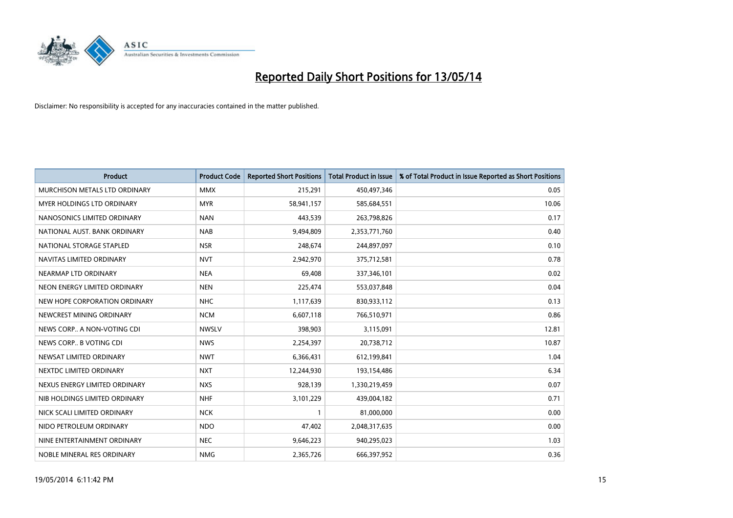

| <b>Product</b>                    | <b>Product Code</b> | <b>Reported Short Positions</b> | <b>Total Product in Issue</b> | % of Total Product in Issue Reported as Short Positions |
|-----------------------------------|---------------------|---------------------------------|-------------------------------|---------------------------------------------------------|
| MURCHISON METALS LTD ORDINARY     | <b>MMX</b>          | 215,291                         | 450,497,346                   | 0.05                                                    |
| <b>MYER HOLDINGS LTD ORDINARY</b> | <b>MYR</b>          | 58,941,157                      | 585,684,551                   | 10.06                                                   |
| NANOSONICS LIMITED ORDINARY       | <b>NAN</b>          | 443,539                         | 263,798,826                   | 0.17                                                    |
| NATIONAL AUST, BANK ORDINARY      | <b>NAB</b>          | 9,494,809                       | 2,353,771,760                 | 0.40                                                    |
| NATIONAL STORAGE STAPLED          | <b>NSR</b>          | 248,674                         | 244,897,097                   | 0.10                                                    |
| NAVITAS LIMITED ORDINARY          | <b>NVT</b>          | 2,942,970                       | 375,712,581                   | 0.78                                                    |
| NEARMAP LTD ORDINARY              | <b>NEA</b>          | 69,408                          | 337,346,101                   | 0.02                                                    |
| NEON ENERGY LIMITED ORDINARY      | <b>NEN</b>          | 225,474                         | 553,037,848                   | 0.04                                                    |
| NEW HOPE CORPORATION ORDINARY     | <b>NHC</b>          | 1,117,639                       | 830,933,112                   | 0.13                                                    |
| NEWCREST MINING ORDINARY          | <b>NCM</b>          | 6,607,118                       | 766,510,971                   | 0.86                                                    |
| NEWS CORP A NON-VOTING CDI        | <b>NWSLV</b>        | 398,903                         | 3,115,091                     | 12.81                                                   |
| NEWS CORP B VOTING CDI            | <b>NWS</b>          | 2,254,397                       | 20,738,712                    | 10.87                                                   |
| NEWSAT LIMITED ORDINARY           | <b>NWT</b>          | 6,366,431                       | 612,199,841                   | 1.04                                                    |
| NEXTDC LIMITED ORDINARY           | <b>NXT</b>          | 12,244,930                      | 193,154,486                   | 6.34                                                    |
| NEXUS ENERGY LIMITED ORDINARY     | <b>NXS</b>          | 928,139                         | 1,330,219,459                 | 0.07                                                    |
| NIB HOLDINGS LIMITED ORDINARY     | <b>NHF</b>          | 3,101,229                       | 439,004,182                   | 0.71                                                    |
| NICK SCALI LIMITED ORDINARY       | <b>NCK</b>          | $\mathbf{1}$                    | 81,000,000                    | 0.00                                                    |
| NIDO PETROLEUM ORDINARY           | <b>NDO</b>          | 47,402                          | 2,048,317,635                 | 0.00                                                    |
| NINE ENTERTAINMENT ORDINARY       | <b>NEC</b>          | 9,646,223                       | 940,295,023                   | 1.03                                                    |
| NOBLE MINERAL RES ORDINARY        | <b>NMG</b>          | 2,365,726                       | 666,397,952                   | 0.36                                                    |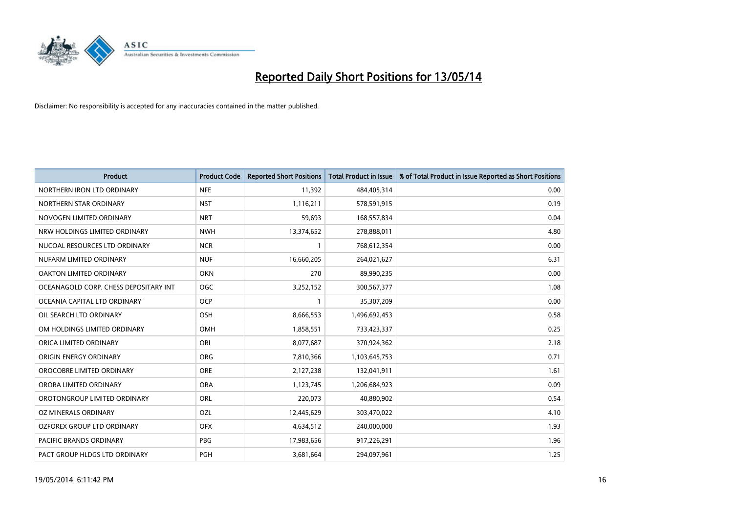

| <b>Product</b>                        | <b>Product Code</b> | <b>Reported Short Positions</b> | <b>Total Product in Issue</b> | % of Total Product in Issue Reported as Short Positions |
|---------------------------------------|---------------------|---------------------------------|-------------------------------|---------------------------------------------------------|
| NORTHERN IRON LTD ORDINARY            | <b>NFE</b>          | 11,392                          | 484,405,314                   | 0.00                                                    |
| NORTHERN STAR ORDINARY                | <b>NST</b>          | 1,116,211                       | 578,591,915                   | 0.19                                                    |
| NOVOGEN LIMITED ORDINARY              | <b>NRT</b>          | 59,693                          | 168,557,834                   | 0.04                                                    |
| NRW HOLDINGS LIMITED ORDINARY         | <b>NWH</b>          | 13,374,652                      | 278,888,011                   | 4.80                                                    |
| NUCOAL RESOURCES LTD ORDINARY         | <b>NCR</b>          | $\mathbf{1}$                    | 768,612,354                   | 0.00                                                    |
| NUFARM LIMITED ORDINARY               | <b>NUF</b>          | 16,660,205                      | 264,021,627                   | 6.31                                                    |
| OAKTON LIMITED ORDINARY               | <b>OKN</b>          | 270                             | 89,990,235                    | 0.00                                                    |
| OCEANAGOLD CORP. CHESS DEPOSITARY INT | <b>OGC</b>          | 3,252,152                       | 300,567,377                   | 1.08                                                    |
| OCEANIA CAPITAL LTD ORDINARY          | <b>OCP</b>          | $\mathbf{1}$                    | 35,307,209                    | 0.00                                                    |
| OIL SEARCH LTD ORDINARY               | OSH                 | 8,666,553                       | 1,496,692,453                 | 0.58                                                    |
| OM HOLDINGS LIMITED ORDINARY          | <b>OMH</b>          | 1,858,551                       | 733,423,337                   | 0.25                                                    |
| ORICA LIMITED ORDINARY                | ORI                 | 8,077,687                       | 370,924,362                   | 2.18                                                    |
| ORIGIN ENERGY ORDINARY                | <b>ORG</b>          | 7,810,366                       | 1,103,645,753                 | 0.71                                                    |
| OROCOBRE LIMITED ORDINARY             | <b>ORE</b>          | 2,127,238                       | 132,041,911                   | 1.61                                                    |
| ORORA LIMITED ORDINARY                | <b>ORA</b>          | 1,123,745                       | 1,206,684,923                 | 0.09                                                    |
| OROTONGROUP LIMITED ORDINARY          | ORL                 | 220,073                         | 40,880,902                    | 0.54                                                    |
| OZ MINERALS ORDINARY                  | OZL                 | 12,445,629                      | 303,470,022                   | 4.10                                                    |
| OZFOREX GROUP LTD ORDINARY            | <b>OFX</b>          | 4,634,512                       | 240,000,000                   | 1.93                                                    |
| <b>PACIFIC BRANDS ORDINARY</b>        | <b>PBG</b>          | 17,983,656                      | 917,226,291                   | 1.96                                                    |
| PACT GROUP HLDGS LTD ORDINARY         | PGH                 | 3,681,664                       | 294,097,961                   | 1.25                                                    |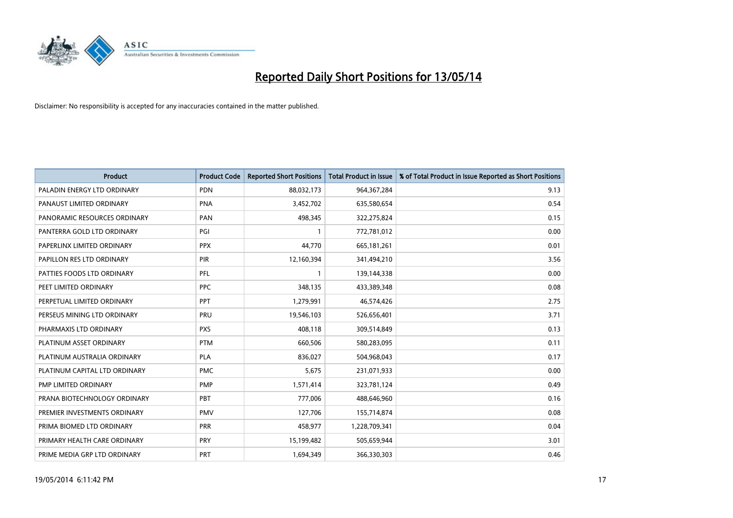

| <b>Product</b>                | <b>Product Code</b> | <b>Reported Short Positions</b> | <b>Total Product in Issue</b> | % of Total Product in Issue Reported as Short Positions |
|-------------------------------|---------------------|---------------------------------|-------------------------------|---------------------------------------------------------|
| PALADIN ENERGY LTD ORDINARY   | PDN                 | 88,032,173                      | 964, 367, 284                 | 9.13                                                    |
| PANAUST LIMITED ORDINARY      | <b>PNA</b>          | 3,452,702                       | 635,580,654                   | 0.54                                                    |
| PANORAMIC RESOURCES ORDINARY  | PAN                 | 498,345                         | 322,275,824                   | 0.15                                                    |
| PANTERRA GOLD LTD ORDINARY    | PGI                 | $\mathbf{1}$                    | 772,781,012                   | 0.00                                                    |
| PAPERLINX LIMITED ORDINARY    | <b>PPX</b>          | 44,770                          | 665,181,261                   | 0.01                                                    |
| PAPILLON RES LTD ORDINARY     | PIR                 | 12,160,394                      | 341,494,210                   | 3.56                                                    |
| PATTIES FOODS LTD ORDINARY    | PFL                 |                                 | 139,144,338                   | 0.00                                                    |
| PEET LIMITED ORDINARY         | <b>PPC</b>          | 348,135                         | 433,389,348                   | 0.08                                                    |
| PERPETUAL LIMITED ORDINARY    | PPT                 | 1,279,991                       | 46,574,426                    | 2.75                                                    |
| PERSEUS MINING LTD ORDINARY   | PRU                 | 19,546,103                      | 526,656,401                   | 3.71                                                    |
| PHARMAXIS LTD ORDINARY        | <b>PXS</b>          | 408,118                         | 309,514,849                   | 0.13                                                    |
| PLATINUM ASSET ORDINARY       | <b>PTM</b>          | 660,506                         | 580,283,095                   | 0.11                                                    |
| PLATINUM AUSTRALIA ORDINARY   | <b>PLA</b>          | 836,027                         | 504,968,043                   | 0.17                                                    |
| PLATINUM CAPITAL LTD ORDINARY | <b>PMC</b>          | 5,675                           | 231,071,933                   | 0.00                                                    |
| PMP LIMITED ORDINARY          | <b>PMP</b>          | 1,571,414                       | 323,781,124                   | 0.49                                                    |
| PRANA BIOTECHNOLOGY ORDINARY  | <b>PBT</b>          | 777,006                         | 488,646,960                   | 0.16                                                    |
| PREMIER INVESTMENTS ORDINARY  | <b>PMV</b>          | 127,706                         | 155,714,874                   | 0.08                                                    |
| PRIMA BIOMED LTD ORDINARY     | <b>PRR</b>          | 458,977                         | 1,228,709,341                 | 0.04                                                    |
| PRIMARY HEALTH CARE ORDINARY  | <b>PRY</b>          | 15,199,482                      | 505,659,944                   | 3.01                                                    |
| PRIME MEDIA GRP LTD ORDINARY  | <b>PRT</b>          | 1,694,349                       | 366,330,303                   | 0.46                                                    |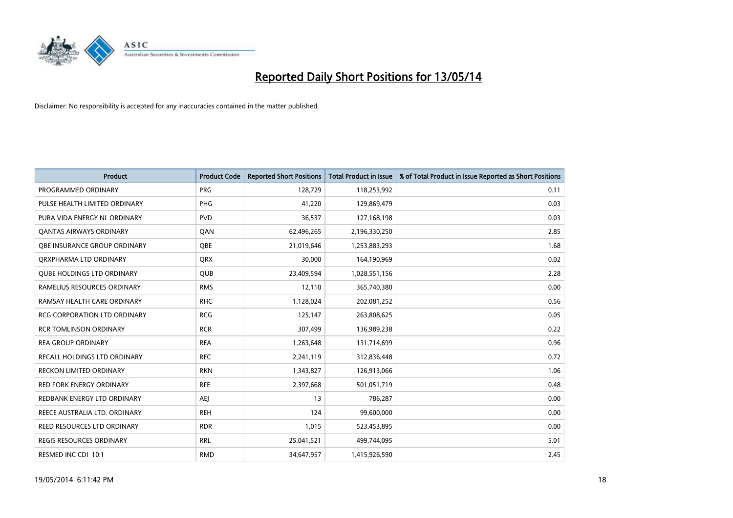

| <b>Product</b>                      | <b>Product Code</b> | <b>Reported Short Positions</b> | <b>Total Product in Issue</b> | % of Total Product in Issue Reported as Short Positions |
|-------------------------------------|---------------------|---------------------------------|-------------------------------|---------------------------------------------------------|
| PROGRAMMED ORDINARY                 | <b>PRG</b>          | 128,729                         | 118,253,992                   | 0.11                                                    |
| PULSE HEALTH LIMITED ORDINARY       | PHG                 | 41,220                          | 129,869,479                   | 0.03                                                    |
| PURA VIDA ENERGY NL ORDINARY        | <b>PVD</b>          | 36,537                          | 127,168,198                   | 0.03                                                    |
| <b>QANTAS AIRWAYS ORDINARY</b>      | QAN                 | 62,496,265                      | 2,196,330,250                 | 2.85                                                    |
| OBE INSURANCE GROUP ORDINARY        | <b>OBE</b>          | 21,019,646                      | 1,253,883,293                 | 1.68                                                    |
| ORXPHARMA LTD ORDINARY              | <b>QRX</b>          | 30,000                          | 164,190,969                   | 0.02                                                    |
| <b>QUBE HOLDINGS LTD ORDINARY</b>   | <b>QUB</b>          | 23,409,594                      | 1,028,551,156                 | 2.28                                                    |
| RAMELIUS RESOURCES ORDINARY         | <b>RMS</b>          | 12,110                          | 365,740,380                   | 0.00                                                    |
| RAMSAY HEALTH CARE ORDINARY         | <b>RHC</b>          | 1,128,024                       | 202,081,252                   | 0.56                                                    |
| <b>RCG CORPORATION LTD ORDINARY</b> | <b>RCG</b>          | 125,147                         | 263,808,625                   | 0.05                                                    |
| <b>RCR TOMLINSON ORDINARY</b>       | <b>RCR</b>          | 307,499                         | 136,989,238                   | 0.22                                                    |
| <b>REA GROUP ORDINARY</b>           | <b>REA</b>          | 1,263,648                       | 131,714,699                   | 0.96                                                    |
| RECALL HOLDINGS LTD ORDINARY        | <b>REC</b>          | 2,241,119                       | 312,836,448                   | 0.72                                                    |
| <b>RECKON LIMITED ORDINARY</b>      | <b>RKN</b>          | 1,343,827                       | 126,913,066                   | 1.06                                                    |
| <b>RED FORK ENERGY ORDINARY</b>     | <b>RFE</b>          | 2,397,668                       | 501,051,719                   | 0.48                                                    |
| REDBANK ENERGY LTD ORDINARY         | AEJ                 | 13                              | 786,287                       | 0.00                                                    |
| REECE AUSTRALIA LTD. ORDINARY       | <b>REH</b>          | 124                             | 99,600,000                    | 0.00                                                    |
| REED RESOURCES LTD ORDINARY         | <b>RDR</b>          | 1,015                           | 523,453,895                   | 0.00                                                    |
| <b>REGIS RESOURCES ORDINARY</b>     | <b>RRL</b>          | 25,041,521                      | 499,744,095                   | 5.01                                                    |
| RESMED INC CDI 10:1                 | <b>RMD</b>          | 34,647,957                      | 1,415,926,590                 | 2.45                                                    |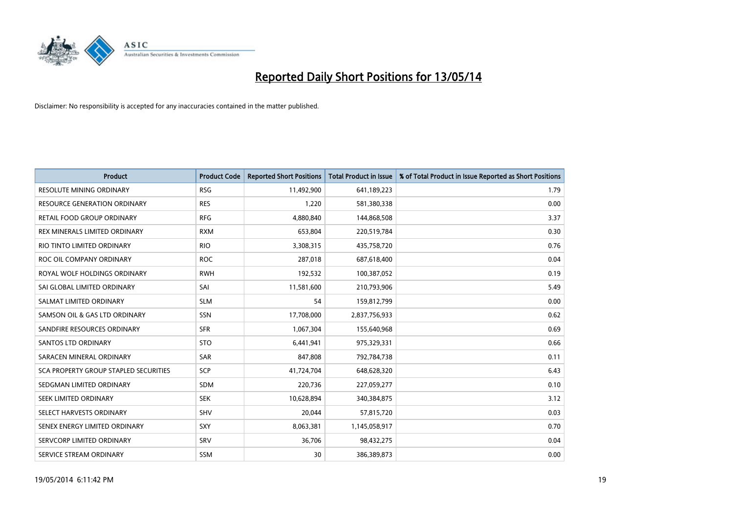

| <b>Product</b>                        | <b>Product Code</b> | <b>Reported Short Positions</b> | <b>Total Product in Issue</b> | % of Total Product in Issue Reported as Short Positions |
|---------------------------------------|---------------------|---------------------------------|-------------------------------|---------------------------------------------------------|
| <b>RESOLUTE MINING ORDINARY</b>       | <b>RSG</b>          | 11,492,900                      | 641,189,223                   | 1.79                                                    |
| <b>RESOURCE GENERATION ORDINARY</b>   | <b>RES</b>          | 1,220                           | 581,380,338                   | 0.00                                                    |
| RETAIL FOOD GROUP ORDINARY            | <b>RFG</b>          | 4,880,840                       | 144,868,508                   | 3.37                                                    |
| REX MINERALS LIMITED ORDINARY         | <b>RXM</b>          | 653,804                         | 220,519,784                   | 0.30                                                    |
| RIO TINTO LIMITED ORDINARY            | <b>RIO</b>          | 3,308,315                       | 435,758,720                   | 0.76                                                    |
| ROC OIL COMPANY ORDINARY              | <b>ROC</b>          | 287,018                         | 687,618,400                   | 0.04                                                    |
| ROYAL WOLF HOLDINGS ORDINARY          | <b>RWH</b>          | 192,532                         | 100,387,052                   | 0.19                                                    |
| SAI GLOBAL LIMITED ORDINARY           | SAI                 | 11,581,600                      | 210,793,906                   | 5.49                                                    |
| SALMAT LIMITED ORDINARY               | <b>SLM</b>          | 54                              | 159,812,799                   | 0.00                                                    |
| SAMSON OIL & GAS LTD ORDINARY         | SSN                 | 17,708,000                      | 2,837,756,933                 | 0.62                                                    |
| SANDFIRE RESOURCES ORDINARY           | <b>SFR</b>          | 1,067,304                       | 155,640,968                   | 0.69                                                    |
| SANTOS LTD ORDINARY                   | <b>STO</b>          | 6,441,941                       | 975,329,331                   | 0.66                                                    |
| SARACEN MINERAL ORDINARY              | <b>SAR</b>          | 847,808                         | 792,784,738                   | 0.11                                                    |
| SCA PROPERTY GROUP STAPLED SECURITIES | <b>SCP</b>          | 41,724,704                      | 648,628,320                   | 6.43                                                    |
| SEDGMAN LIMITED ORDINARY              | SDM                 | 220,736                         | 227,059,277                   | 0.10                                                    |
| SEEK LIMITED ORDINARY                 | <b>SEK</b>          | 10,628,894                      | 340,384,875                   | 3.12                                                    |
| SELECT HARVESTS ORDINARY              | SHV                 | 20,044                          | 57,815,720                    | 0.03                                                    |
| SENEX ENERGY LIMITED ORDINARY         | SXY                 | 8,063,381                       | 1,145,058,917                 | 0.70                                                    |
| SERVCORP LIMITED ORDINARY             | SRV                 | 36,706                          | 98,432,275                    | 0.04                                                    |
| SERVICE STREAM ORDINARY               | SSM                 | 30                              | 386,389,873                   | 0.00                                                    |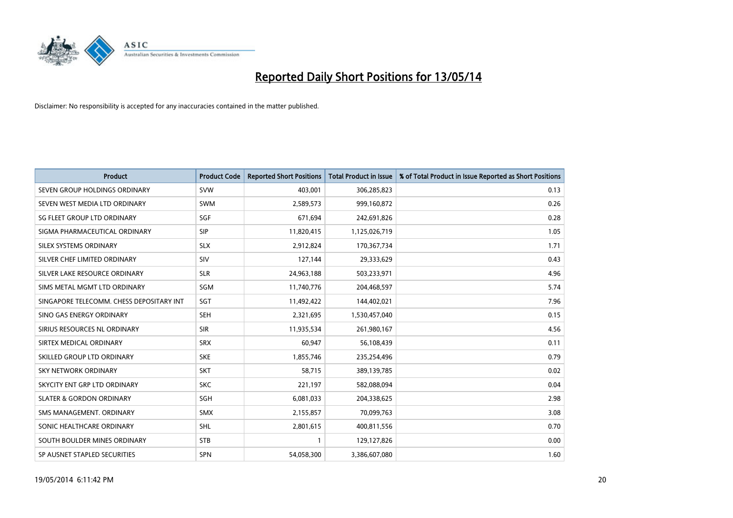

| <b>Product</b>                           | <b>Product Code</b> | <b>Reported Short Positions</b> | <b>Total Product in Issue</b> | % of Total Product in Issue Reported as Short Positions |
|------------------------------------------|---------------------|---------------------------------|-------------------------------|---------------------------------------------------------|
| SEVEN GROUP HOLDINGS ORDINARY            | <b>SVW</b>          | 403,001                         | 306,285,823                   | 0.13                                                    |
| SEVEN WEST MEDIA LTD ORDINARY            | <b>SWM</b>          | 2,589,573                       | 999,160,872                   | 0.26                                                    |
| SG FLEET GROUP LTD ORDINARY              | SGF                 | 671,694                         | 242,691,826                   | 0.28                                                    |
| SIGMA PHARMACEUTICAL ORDINARY            | <b>SIP</b>          | 11,820,415                      | 1,125,026,719                 | 1.05                                                    |
| SILEX SYSTEMS ORDINARY                   | <b>SLX</b>          | 2,912,824                       | 170,367,734                   | 1.71                                                    |
| SILVER CHEF LIMITED ORDINARY             | SIV                 | 127,144                         | 29,333,629                    | 0.43                                                    |
| SILVER LAKE RESOURCE ORDINARY            | <b>SLR</b>          | 24,963,188                      | 503,233,971                   | 4.96                                                    |
| SIMS METAL MGMT LTD ORDINARY             | SGM                 | 11,740,776                      | 204,468,597                   | 5.74                                                    |
| SINGAPORE TELECOMM. CHESS DEPOSITARY INT | SGT                 | 11,492,422                      | 144,402,021                   | 7.96                                                    |
| SINO GAS ENERGY ORDINARY                 | <b>SEH</b>          | 2,321,695                       | 1,530,457,040                 | 0.15                                                    |
| SIRIUS RESOURCES NL ORDINARY             | <b>SIR</b>          | 11,935,534                      | 261,980,167                   | 4.56                                                    |
| SIRTEX MEDICAL ORDINARY                  | <b>SRX</b>          | 60,947                          | 56,108,439                    | 0.11                                                    |
| SKILLED GROUP LTD ORDINARY               | <b>SKE</b>          | 1,855,746                       | 235,254,496                   | 0.79                                                    |
| <b>SKY NETWORK ORDINARY</b>              | <b>SKT</b>          | 58,715                          | 389,139,785                   | 0.02                                                    |
| SKYCITY ENT GRP LTD ORDINARY             | <b>SKC</b>          | 221,197                         | 582,088,094                   | 0.04                                                    |
| <b>SLATER &amp; GORDON ORDINARY</b>      | SGH                 | 6,081,033                       | 204,338,625                   | 2.98                                                    |
| SMS MANAGEMENT, ORDINARY                 | <b>SMX</b>          | 2,155,857                       | 70,099,763                    | 3.08                                                    |
| SONIC HEALTHCARE ORDINARY                | <b>SHL</b>          | 2,801,615                       | 400,811,556                   | 0.70                                                    |
| SOUTH BOULDER MINES ORDINARY             | <b>STB</b>          | 1                               | 129,127,826                   | 0.00                                                    |
| SP AUSNET STAPLED SECURITIES             | <b>SPN</b>          | 54,058,300                      | 3,386,607,080                 | 1.60                                                    |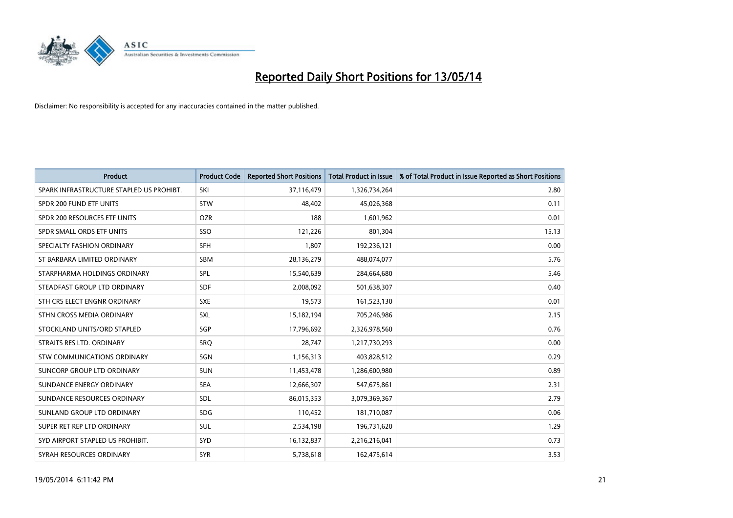

| <b>Product</b>                           | <b>Product Code</b> | <b>Reported Short Positions</b> | <b>Total Product in Issue</b> | % of Total Product in Issue Reported as Short Positions |
|------------------------------------------|---------------------|---------------------------------|-------------------------------|---------------------------------------------------------|
| SPARK INFRASTRUCTURE STAPLED US PROHIBT. | SKI                 | 37,116,479                      | 1,326,734,264                 | 2.80                                                    |
| SPDR 200 FUND ETF UNITS                  | <b>STW</b>          | 48,402                          | 45,026,368                    | 0.11                                                    |
| SPDR 200 RESOURCES ETF UNITS             | <b>OZR</b>          | 188                             | 1,601,962                     | 0.01                                                    |
| SPDR SMALL ORDS ETF UNITS                | SSO                 | 121,226                         | 801,304                       | 15.13                                                   |
| SPECIALTY FASHION ORDINARY               | SFH                 | 1,807                           | 192,236,121                   | 0.00                                                    |
| ST BARBARA LIMITED ORDINARY              | SBM                 | 28,136,279                      | 488,074,077                   | 5.76                                                    |
| STARPHARMA HOLDINGS ORDINARY             | SPL                 | 15,540,639                      | 284,664,680                   | 5.46                                                    |
| STEADFAST GROUP LTD ORDINARY             | <b>SDF</b>          | 2,008,092                       | 501,638,307                   | 0.40                                                    |
| STH CRS ELECT ENGNR ORDINARY             | <b>SXE</b>          | 19,573                          | 161,523,130                   | 0.01                                                    |
| STHN CROSS MEDIA ORDINARY                | <b>SXL</b>          | 15,182,194                      | 705,246,986                   | 2.15                                                    |
| STOCKLAND UNITS/ORD STAPLED              | SGP                 | 17,796,692                      | 2,326,978,560                 | 0.76                                                    |
| STRAITS RES LTD. ORDINARY                | SRO                 | 28,747                          | 1,217,730,293                 | 0.00                                                    |
| STW COMMUNICATIONS ORDINARY              | SGN                 | 1,156,313                       | 403,828,512                   | 0.29                                                    |
| SUNCORP GROUP LTD ORDINARY               | <b>SUN</b>          | 11,453,478                      | 1,286,600,980                 | 0.89                                                    |
| SUNDANCE ENERGY ORDINARY                 | <b>SEA</b>          | 12,666,307                      | 547,675,861                   | 2.31                                                    |
| SUNDANCE RESOURCES ORDINARY              | <b>SDL</b>          | 86,015,353                      | 3,079,369,367                 | 2.79                                                    |
| SUNLAND GROUP LTD ORDINARY               | <b>SDG</b>          | 110,452                         | 181,710,087                   | 0.06                                                    |
| SUPER RET REP LTD ORDINARY               | <b>SUL</b>          | 2,534,198                       | 196,731,620                   | 1.29                                                    |
| SYD AIRPORT STAPLED US PROHIBIT.         | SYD                 | 16,132,837                      | 2,216,216,041                 | 0.73                                                    |
| SYRAH RESOURCES ORDINARY                 | <b>SYR</b>          | 5,738,618                       | 162,475,614                   | 3.53                                                    |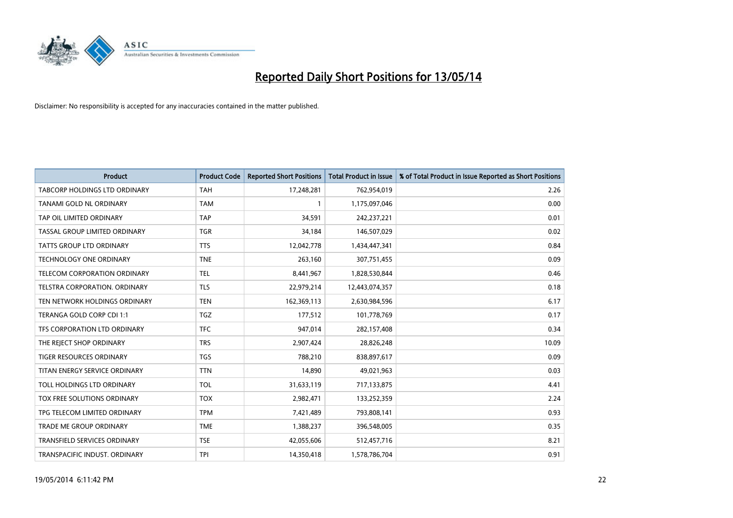

| <b>Product</b>                       | <b>Product Code</b> | <b>Reported Short Positions</b> | <b>Total Product in Issue</b> | % of Total Product in Issue Reported as Short Positions |
|--------------------------------------|---------------------|---------------------------------|-------------------------------|---------------------------------------------------------|
| <b>TABCORP HOLDINGS LTD ORDINARY</b> | <b>TAH</b>          | 17,248,281                      | 762,954,019                   | 2.26                                                    |
| TANAMI GOLD NL ORDINARY              | <b>TAM</b>          |                                 | 1,175,097,046                 | 0.00                                                    |
| TAP OIL LIMITED ORDINARY             | <b>TAP</b>          | 34,591                          | 242,237,221                   | 0.01                                                    |
| TASSAL GROUP LIMITED ORDINARY        | <b>TGR</b>          | 34,184                          | 146,507,029                   | 0.02                                                    |
| <b>TATTS GROUP LTD ORDINARY</b>      | <b>TTS</b>          | 12,042,778                      | 1,434,447,341                 | 0.84                                                    |
| <b>TECHNOLOGY ONE ORDINARY</b>       | <b>TNE</b>          | 263,160                         | 307,751,455                   | 0.09                                                    |
| TELECOM CORPORATION ORDINARY         | <b>TEL</b>          | 8,441,967                       | 1,828,530,844                 | 0.46                                                    |
| TELSTRA CORPORATION. ORDINARY        | <b>TLS</b>          | 22,979,214                      | 12,443,074,357                | 0.18                                                    |
| TEN NETWORK HOLDINGS ORDINARY        | <b>TEN</b>          | 162,369,113                     | 2,630,984,596                 | 6.17                                                    |
| TERANGA GOLD CORP CDI 1:1            | <b>TGZ</b>          | 177,512                         | 101,778,769                   | 0.17                                                    |
| TFS CORPORATION LTD ORDINARY         | <b>TFC</b>          | 947,014                         | 282,157,408                   | 0.34                                                    |
| THE REJECT SHOP ORDINARY             | <b>TRS</b>          | 2,907,424                       | 28,826,248                    | 10.09                                                   |
| <b>TIGER RESOURCES ORDINARY</b>      | <b>TGS</b>          | 788,210                         | 838,897,617                   | 0.09                                                    |
| TITAN ENERGY SERVICE ORDINARY        | <b>TTN</b>          | 14,890                          | 49,021,963                    | 0.03                                                    |
| TOLL HOLDINGS LTD ORDINARY           | <b>TOL</b>          | 31,633,119                      | 717,133,875                   | 4.41                                                    |
| TOX FREE SOLUTIONS ORDINARY          | <b>TOX</b>          | 2,982,471                       | 133,252,359                   | 2.24                                                    |
| TPG TELECOM LIMITED ORDINARY         | <b>TPM</b>          | 7,421,489                       | 793,808,141                   | 0.93                                                    |
| <b>TRADE ME GROUP ORDINARY</b>       | <b>TME</b>          | 1,388,237                       | 396,548,005                   | 0.35                                                    |
| TRANSFIELD SERVICES ORDINARY         | <b>TSE</b>          | 42,055,606                      | 512,457,716                   | 8.21                                                    |
| TRANSPACIFIC INDUST. ORDINARY        | TPI                 | 14,350,418                      | 1,578,786,704                 | 0.91                                                    |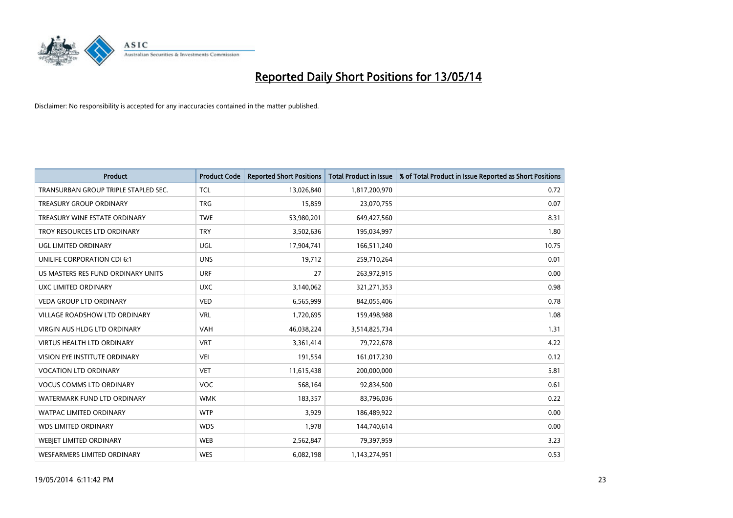

| Product                              | <b>Product Code</b> | <b>Reported Short Positions</b> | <b>Total Product in Issue</b> | % of Total Product in Issue Reported as Short Positions |
|--------------------------------------|---------------------|---------------------------------|-------------------------------|---------------------------------------------------------|
| TRANSURBAN GROUP TRIPLE STAPLED SEC. | <b>TCL</b>          | 13,026,840                      | 1,817,200,970                 | 0.72                                                    |
| TREASURY GROUP ORDINARY              | <b>TRG</b>          | 15,859                          | 23,070,755                    | 0.07                                                    |
| TREASURY WINE ESTATE ORDINARY        | <b>TWE</b>          | 53,980,201                      | 649,427,560                   | 8.31                                                    |
| TROY RESOURCES LTD ORDINARY          | <b>TRY</b>          | 3,502,636                       | 195,034,997                   | 1.80                                                    |
| <b>UGL LIMITED ORDINARY</b>          | UGL                 | 17,904,741                      | 166,511,240                   | 10.75                                                   |
| UNILIFE CORPORATION CDI 6:1          | <b>UNS</b>          | 19,712                          | 259,710,264                   | 0.01                                                    |
| US MASTERS RES FUND ORDINARY UNITS   | <b>URF</b>          | 27                              | 263,972,915                   | 0.00                                                    |
| UXC LIMITED ORDINARY                 | <b>UXC</b>          | 3,140,062                       | 321,271,353                   | 0.98                                                    |
| VEDA GROUP LTD ORDINARY              | <b>VED</b>          | 6,565,999                       | 842,055,406                   | 0.78                                                    |
| <b>VILLAGE ROADSHOW LTD ORDINARY</b> | <b>VRL</b>          | 1,720,695                       | 159,498,988                   | 1.08                                                    |
| <b>VIRGIN AUS HLDG LTD ORDINARY</b>  | <b>VAH</b>          | 46,038,224                      | 3,514,825,734                 | 1.31                                                    |
| <b>VIRTUS HEALTH LTD ORDINARY</b>    | <b>VRT</b>          | 3,361,414                       | 79,722,678                    | 4.22                                                    |
| VISION EYE INSTITUTE ORDINARY        | <b>VEI</b>          | 191,554                         | 161,017,230                   | 0.12                                                    |
| <b>VOCATION LTD ORDINARY</b>         | <b>VET</b>          | 11,615,438                      | 200,000,000                   | 5.81                                                    |
| <b>VOCUS COMMS LTD ORDINARY</b>      | <b>VOC</b>          | 568,164                         | 92,834,500                    | 0.61                                                    |
| WATERMARK FUND LTD ORDINARY          | <b>WMK</b>          | 183,357                         | 83,796,036                    | 0.22                                                    |
| <b>WATPAC LIMITED ORDINARY</b>       | <b>WTP</b>          | 3,929                           | 186,489,922                   | 0.00                                                    |
| <b>WDS LIMITED ORDINARY</b>          | <b>WDS</b>          | 1,978                           | 144,740,614                   | 0.00                                                    |
| <b>WEBJET LIMITED ORDINARY</b>       | <b>WEB</b>          | 2,562,847                       | 79,397,959                    | 3.23                                                    |
| <b>WESFARMERS LIMITED ORDINARY</b>   | <b>WES</b>          | 6,082,198                       | 1,143,274,951                 | 0.53                                                    |